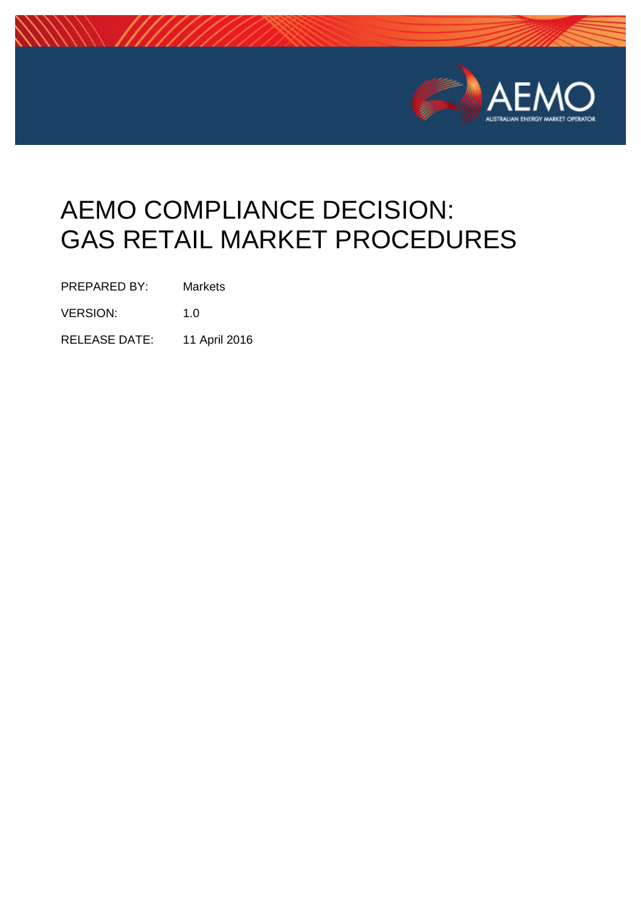

# AEMO COMPLIANCE DECISION: GAS RETAIL MARKET PROCEDURES

PREPARED BY: Markets

VERSION: 1.0

RELEASE DATE: 11 April 2016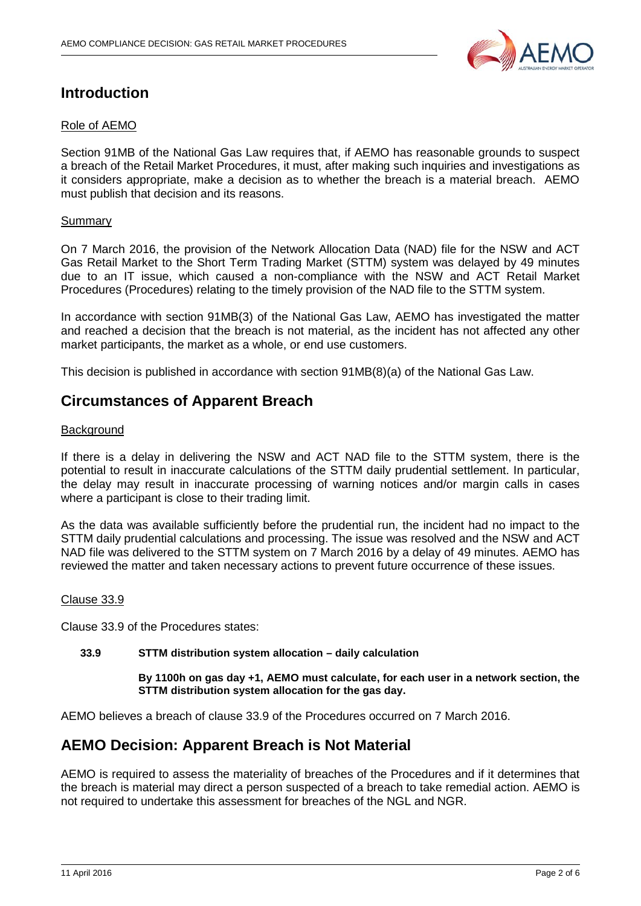

# **Introduction**

# Role of AEMO

Section 91MB of the National Gas Law requires that, if AEMO has reasonable grounds to suspect a breach of the Retail Market Procedures, it must, after making such inquiries and investigations as it considers appropriate, make a decision as to whether the breach is a material breach. AEMO must publish that decision and its reasons.

# Summary

On 7 March 2016, the provision of the Network Allocation Data (NAD) file for the NSW and ACT Gas Retail Market to the Short Term Trading Market (STTM) system was delayed by 49 minutes due to an IT issue, which caused a non-compliance with the NSW and ACT Retail Market Procedures (Procedures) relating to the timely provision of the NAD file to the STTM system.

In accordance with section 91MB(3) of the National Gas Law, AEMO has investigated the matter and reached a decision that the breach is not material, as the incident has not affected any other market participants, the market as a whole, or end use customers.

This decision is published in accordance with section 91MB(8)(a) of the National Gas Law.

# **Circumstances of Apparent Breach**

## **Background**

If there is a delay in delivering the NSW and ACT NAD file to the STTM system, there is the potential to result in inaccurate calculations of the STTM daily prudential settlement. In particular, the delay may result in inaccurate processing of warning notices and/or margin calls in cases where a participant is close to their trading limit.

As the data was available sufficiently before the prudential run, the incident had no impact to the STTM daily prudential calculations and processing. The issue was resolved and the NSW and ACT NAD file was delivered to the STTM system on 7 March 2016 by a delay of 49 minutes. AEMO has reviewed the matter and taken necessary actions to prevent future occurrence of these issues.

#### Clause 33.9

Clause 33.9 of the Procedures states:

# **33.9 STTM distribution system allocation – daily calculation**

**By 1100h on gas day +1, AEMO must calculate, for each user in a network section, the STTM distribution system allocation for the gas day.**

AEMO believes a breach of clause 33.9 of the Procedures occurred on 7 March 2016.

# **AEMO Decision: Apparent Breach is Not Material**

AEMO is required to assess the materiality of breaches of the Procedures and if it determines that the breach is material may direct a person suspected of a breach to take remedial action. AEMO is not required to undertake this assessment for breaches of the NGL and NGR.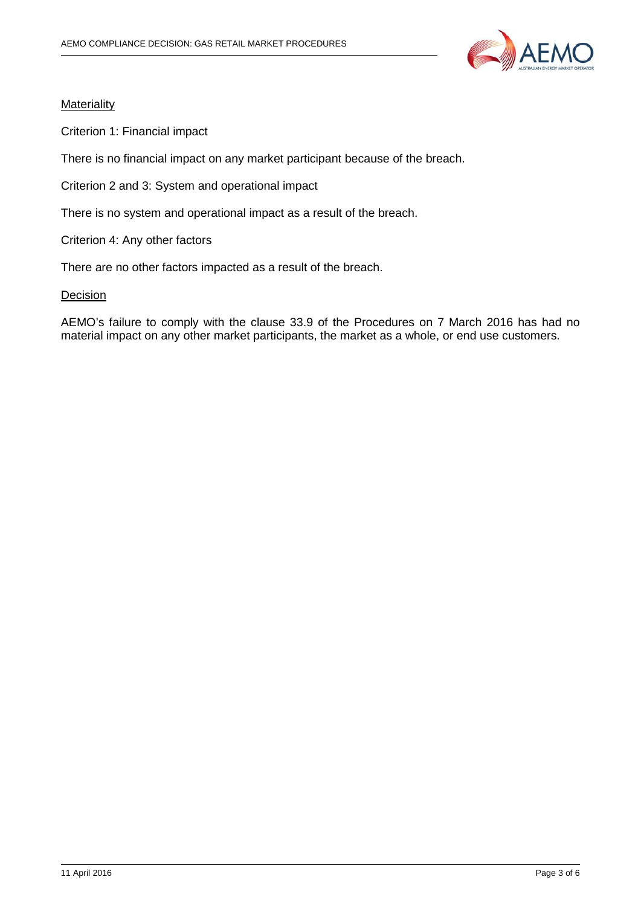

# **Materiality**

Criterion 1: Financial impact

There is no financial impact on any market participant because of the breach.

Criterion 2 and 3: System and operational impact

There is no system and operational impact as a result of the breach.

Criterion 4: Any other factors

There are no other factors impacted as a result of the breach.

## **Decision**

AEMO's failure to comply with the clause 33.9 of the Procedures on 7 March 2016 has had no material impact on any other market participants, the market as a whole, or end use customers.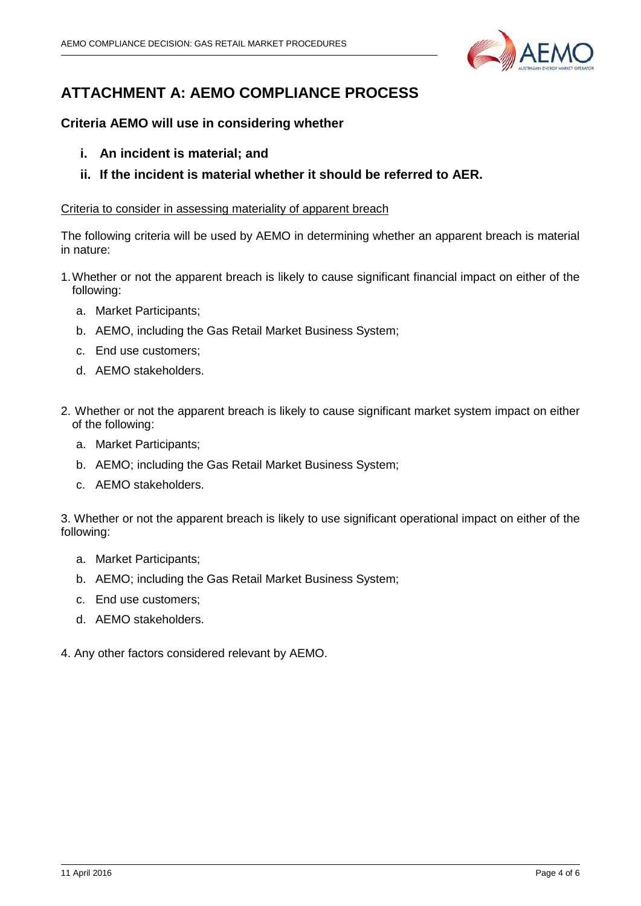

# **ATTACHMENT A: AEMO COMPLIANCE PROCESS**

# **Criteria AEMO will use in considering whether**

- **i. An incident is material; and**
- **ii. If the incident is material whether it should be referred to AER.**

# Criteria to consider in assessing materiality of apparent breach

The following criteria will be used by AEMO in determining whether an apparent breach is material in nature:

- 1.Whether or not the apparent breach is likely to cause significant financial impact on either of the following:
	- a. Market Participants;
	- b. AEMO, including the Gas Retail Market Business System;
	- c. End use customers;
	- d. AEMO stakeholders.
- 2. Whether or not the apparent breach is likely to cause significant market system impact on either of the following:
	- a. Market Participants;
	- b. AEMO; including the Gas Retail Market Business System;
	- c. AEMO stakeholders.

3. Whether or not the apparent breach is likely to use significant operational impact on either of the following:

- a. Market Participants;
- b. AEMO; including the Gas Retail Market Business System;
- c. End use customers;
- d. AEMO stakeholders.
- 4. Any other factors considered relevant by AEMO.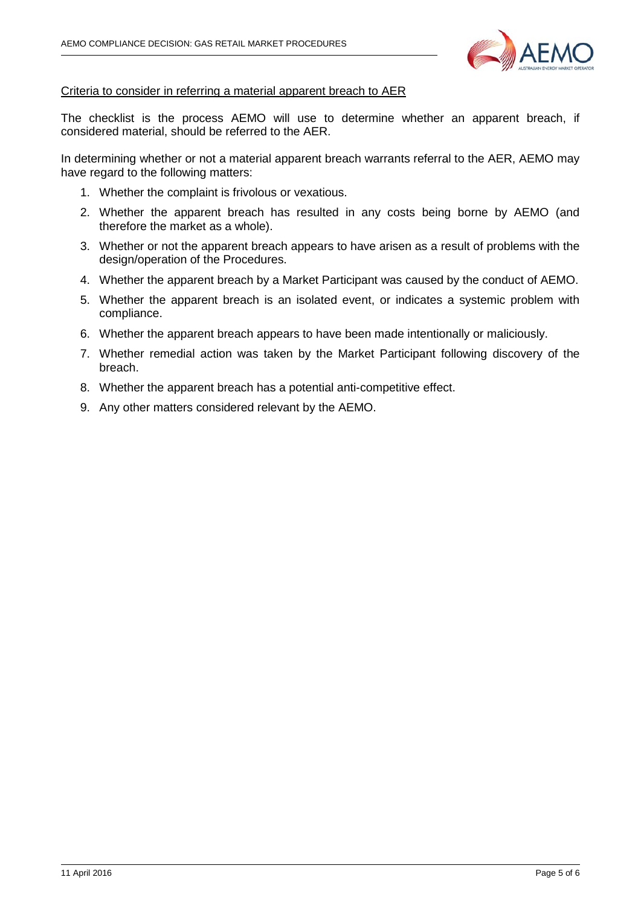

# Criteria to consider in referring a material apparent breach to AER

The checklist is the process AEMO will use to determine whether an apparent breach, if considered material, should be referred to the AER.

In determining whether or not a material apparent breach warrants referral to the AER, AEMO may have regard to the following matters:

- 1. Whether the complaint is frivolous or vexatious.
- 2. Whether the apparent breach has resulted in any costs being borne by AEMO (and therefore the market as a whole).
- 3. Whether or not the apparent breach appears to have arisen as a result of problems with the design/operation of the Procedures.
- 4. Whether the apparent breach by a Market Participant was caused by the conduct of AEMO.
- 5. Whether the apparent breach is an isolated event, or indicates a systemic problem with compliance.
- 6. Whether the apparent breach appears to have been made intentionally or maliciously.
- 7. Whether remedial action was taken by the Market Participant following discovery of the breach.
- 8. Whether the apparent breach has a potential anti-competitive effect.
- 9. Any other matters considered relevant by the AEMO.